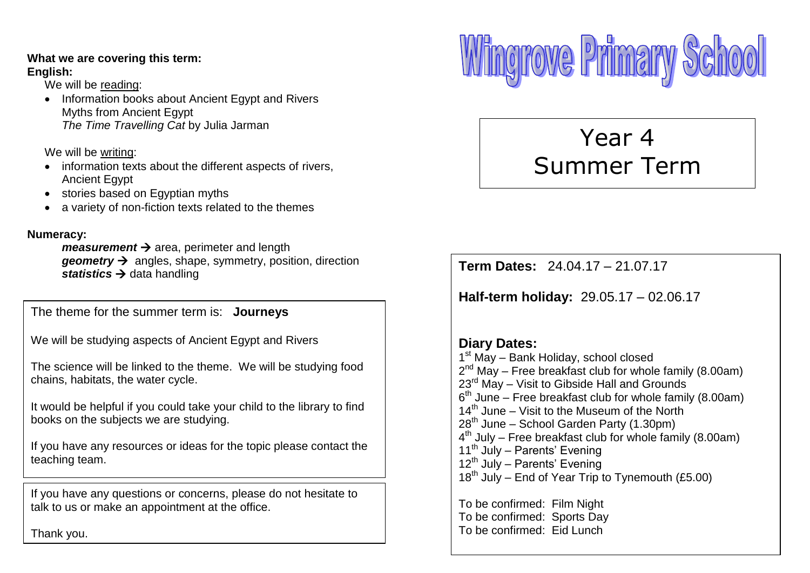#### **What we are covering this term: English:**

We will be reading:

• Information books about Ancient Egypt and Rivers Myths from Ancient Egypt *The Time Travelling Cat* by Julia Jarman

We will be writing:

- information texts about the different aspects of rivers, Ancient Egypt
- stories based on Egyptian myths
- a variety of non-fiction texts related to the themes

#### **Numeracy:**

*measurement*  $\rightarrow$  area, perimeter and length *geometry*  $\rightarrow$  angles, shape, symmetry, position, direction statistics  $\rightarrow$  data handling

The theme for the summer term is: **Journeys**

We will be studying aspects of Ancient Egypt and Rivers

The science will be linked to the theme. We will be studying food<br>chains, hebitate, the water avale chains, habitats, the water cycle.

It would be helpful if you could take your child to the library to find books on the subjects we are studying.

If you have any resources or ideas for the topic please contact the teaching team.

If you have any questions or concerns, please do not hesitate to talk to us or make an appointment at the office.

Thank you.



# Year 4 Summer Term

**Term Dates:** 24.04.17 – 21.07.17

**Half-term holiday:** 29.05.17 – 02.06.17

#### **Diary Dates:** 1<sup>st</sup> May - Bank Holiday, school closed  $2^{nd}$  May – Free breakfast club for whole family (8.00am) 23<sup>rd</sup> May – Visit to Gibside Hall and Grounds  $6<sup>th</sup>$  June – Free breakfast club for whole family (8.00am)  $14<sup>th</sup>$  June – Visit to the Museum of the North 28<sup>th</sup> June – School Garden Party (1.30pm) 4<sup>th</sup> July – Free breakfast club for whole family (8.00am) 11<sup>th</sup> July – Parents' Evening 12<sup>th</sup> July – Parents' Evening

 $18^{th}$  July – End of Year Trip to Tynemouth (£5.00)

To be confirmed: Film Night To be confirmed: Sports Day To be confirmed: Eid Lunch